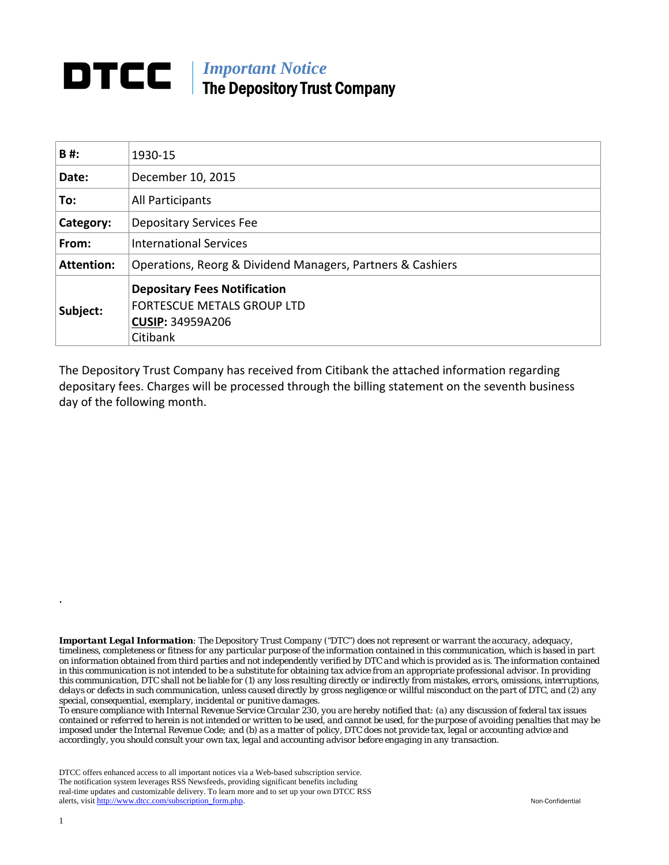## *Important Notice*  The Depository Trust Company

| B#:               | 1930-15                                                                                                         |  |  |  |  |
|-------------------|-----------------------------------------------------------------------------------------------------------------|--|--|--|--|
| Date:             | December 10, 2015                                                                                               |  |  |  |  |
| To:               | All Participants                                                                                                |  |  |  |  |
| Category:         | <b>Depositary Services Fee</b>                                                                                  |  |  |  |  |
| From:             | <b>International Services</b>                                                                                   |  |  |  |  |
| <b>Attention:</b> | Operations, Reorg & Dividend Managers, Partners & Cashiers                                                      |  |  |  |  |
| Subject:          | <b>Depositary Fees Notification</b><br><b>FORTESCUE METALS GROUP LTD</b><br><b>CUSIP: 34959A206</b><br>Citibank |  |  |  |  |

The Depository Trust Company has received from Citibank the attached information regarding depositary fees. Charges will be processed through the billing statement on the seventh business day of the following month.

*Important Legal Information: The Depository Trust Company ("DTC") does not represent or warrant the accuracy, adequacy, timeliness, completeness or fitness for any particular purpose of the information contained in this communication, which is based in part on information obtained from third parties and not independently verified by DTC and which is provided as is. The information contained in this communication is not intended to be a substitute for obtaining tax advice from an appropriate professional advisor. In providing this communication, DTC shall not be liable for (1) any loss resulting directly or indirectly from mistakes, errors, omissions, interruptions, delays or defects in such communication, unless caused directly by gross negligence or willful misconduct on the part of DTC, and (2) any special, consequential, exemplary, incidental or punitive damages.* 

*To ensure compliance with Internal Revenue Service Circular 230, you are hereby notified that: (a) any discussion of federal tax issues contained or referred to herein is not intended or written to be used, and cannot be used, for the purpose of avoiding penalties that may be imposed under the Internal Revenue Code; and (b) as a matter of policy, DTC does not provide tax, legal or accounting advice and accordingly, you should consult your own tax, legal and accounting advisor before engaging in any transaction.*

DTCC offers enhanced access to all important notices via a Web-based subscription service. The notification system leverages RSS Newsfeeds, providing significant benefits including real-time updates and customizable delivery. To learn more and to set up your own DTCC RSS alerts, visit http://www.dtcc.com/subscription\_form.php. Non-Confidential

.